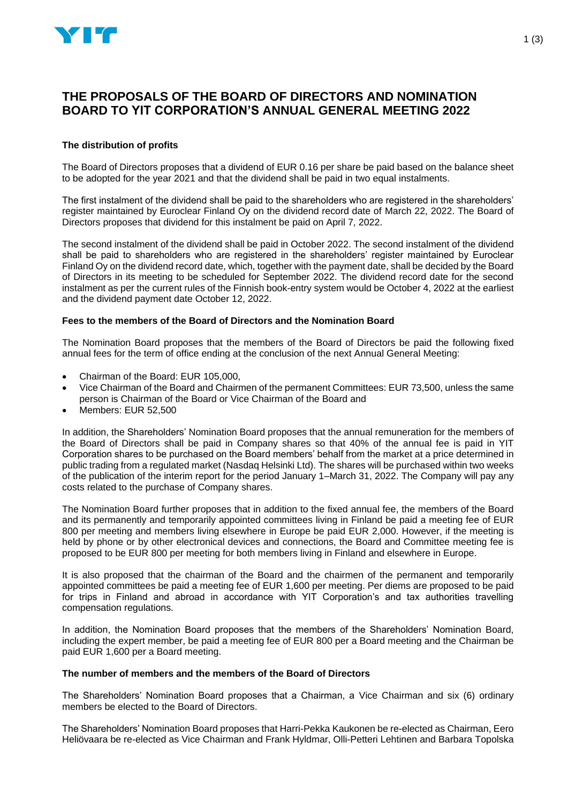

# **THE PROPOSALS OF THE BOARD OF DIRECTORS AND NOMINATION BOARD TO YIT CORPORATION'S ANNUAL GENERAL MEETING 2022**

# **The distribution of profits**

The Board of Directors proposes that a dividend of EUR 0.16 per share be paid based on the balance sheet to be adopted for the year 2021 and that the dividend shall be paid in two equal instalments.

The first instalment of the dividend shall be paid to the shareholders who are registered in the shareholders' register maintained by Euroclear Finland Oy on the dividend record date of March 22, 2022. The Board of Directors proposes that dividend for this instalment be paid on April 7, 2022.

The second instalment of the dividend shall be paid in October 2022. The second instalment of the dividend shall be paid to shareholders who are registered in the shareholders' register maintained by Euroclear Finland Oy on the dividend record date, which, together with the payment date, shall be decided by the Board of Directors in its meeting to be scheduled for September 2022. The dividend record date for the second instalment as per the current rules of the Finnish book-entry system would be October 4, 2022 at the earliest and the dividend payment date October 12, 2022.

## **Fees to the members of the Board of Directors and the Nomination Board**

The Nomination Board proposes that the members of the Board of Directors be paid the following fixed annual fees for the term of office ending at the conclusion of the next Annual General Meeting:

- Chairman of the Board: EUR 105,000,
- Vice Chairman of the Board and Chairmen of the permanent Committees: EUR 73,500, unless the same person is Chairman of the Board or Vice Chairman of the Board and
- Members: EUR 52,500

In addition, the Shareholders' Nomination Board proposes that the annual remuneration for the members of the Board of Directors shall be paid in Company shares so that 40% of the annual fee is paid in YIT Corporation shares to be purchased on the Board members' behalf from the market at a price determined in public trading from a regulated market (Nasdaq Helsinki Ltd). The shares will be purchased within two weeks of the publication of the interim report for the period January 1–March 31, 2022. The Company will pay any costs related to the purchase of Company shares.

The Nomination Board further proposes that in addition to the fixed annual fee, the members of the Board and its permanently and temporarily appointed committees living in Finland be paid a meeting fee of EUR 800 per meeting and members living elsewhere in Europe be paid EUR 2,000. However, if the meeting is held by phone or by other electronical devices and connections, the Board and Committee meeting fee is proposed to be EUR 800 per meeting for both members living in Finland and elsewhere in Europe.

It is also proposed that the chairman of the Board and the chairmen of the permanent and temporarily appointed committees be paid a meeting fee of EUR 1,600 per meeting. Per diems are proposed to be paid for trips in Finland and abroad in accordance with YIT Corporation's and tax authorities travelling compensation regulations.

In addition, the Nomination Board proposes that the members of the Shareholders' Nomination Board, including the expert member, be paid a meeting fee of EUR 800 per a Board meeting and the Chairman be paid EUR 1,600 per a Board meeting.

# **The number of members and the members of the Board of Directors**

The Shareholders' Nomination Board proposes that a Chairman, a Vice Chairman and six (6) ordinary members be elected to the Board of Directors.

The Shareholders' Nomination Board proposes that Harri-Pekka Kaukonen be re-elected as Chairman, Eero Heliövaara be re-elected as Vice Chairman and Frank Hyldmar, Olli-Petteri Lehtinen and Barbara Topolska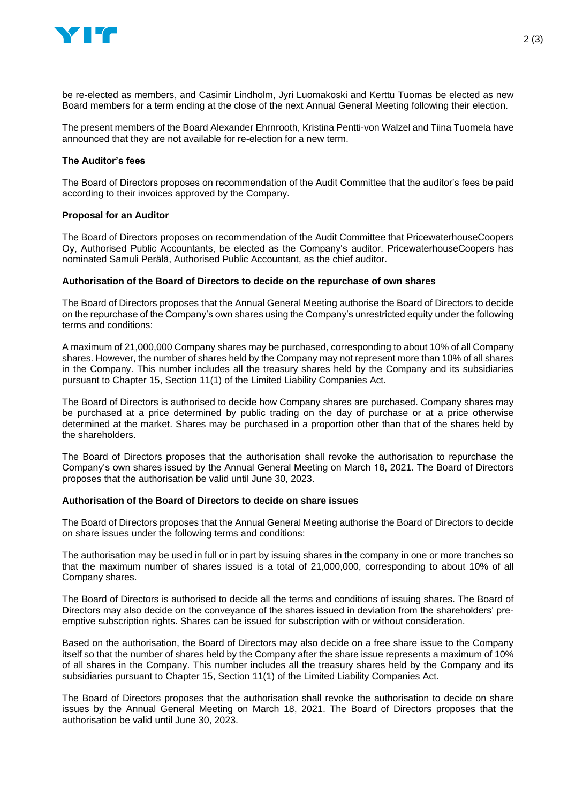

be re-elected as members, and Casimir Lindholm, Jyri Luomakoski and Kerttu Tuomas be elected as new Board members for a term ending at the close of the next Annual General Meeting following their election.

The present members of the Board Alexander Ehrnrooth, Kristina Pentti-von Walzel and Tiina Tuomela have announced that they are not available for re-election for a new term.

## **The Auditor's fees**

The Board of Directors proposes on recommendation of the Audit Committee that the auditor's fees be paid according to their invoices approved by the Company.

### **Proposal for an Auditor**

The Board of Directors proposes on recommendation of the Audit Committee that PricewaterhouseCoopers Oy, Authorised Public Accountants, be elected as the Company's auditor. PricewaterhouseCoopers has nominated Samuli Perälä, Authorised Public Accountant, as the chief auditor.

### **Authorisation of the Board of Directors to decide on the repurchase of own shares**

The Board of Directors proposes that the Annual General Meeting authorise the Board of Directors to decide on the repurchase of the Company's own shares using the Company's unrestricted equity under the following terms and conditions:

A maximum of 21,000,000 Company shares may be purchased, corresponding to about 10% of all Company shares. However, the number of shares held by the Company may not represent more than 10% of all shares in the Company. This number includes all the treasury shares held by the Company and its subsidiaries pursuant to Chapter 15, Section 11(1) of the Limited Liability Companies Act.

The Board of Directors is authorised to decide how Company shares are purchased. Company shares may be purchased at a price determined by public trading on the day of purchase or at a price otherwise determined at the market. Shares may be purchased in a proportion other than that of the shares held by the shareholders.

The Board of Directors proposes that the authorisation shall revoke the authorisation to repurchase the Company's own shares issued by the Annual General Meeting on March 18, 2021. The Board of Directors proposes that the authorisation be valid until June 30, 2023.

### **Authorisation of the Board of Directors to decide on share issues**

The Board of Directors proposes that the Annual General Meeting authorise the Board of Directors to decide on share issues under the following terms and conditions:

The authorisation may be used in full or in part by issuing shares in the company in one or more tranches so that the maximum number of shares issued is a total of 21,000,000, corresponding to about 10% of all Company shares.

The Board of Directors is authorised to decide all the terms and conditions of issuing shares. The Board of Directors may also decide on the conveyance of the shares issued in deviation from the shareholders' preemptive subscription rights. Shares can be issued for subscription with or without consideration.

Based on the authorisation, the Board of Directors may also decide on a free share issue to the Company itself so that the number of shares held by the Company after the share issue represents a maximum of 10% of all shares in the Company. This number includes all the treasury shares held by the Company and its subsidiaries pursuant to Chapter 15, Section 11(1) of the Limited Liability Companies Act.

The Board of Directors proposes that the authorisation shall revoke the authorisation to decide on share issues by the Annual General Meeting on March 18, 2021. The Board of Directors proposes that the authorisation be valid until June 30, 2023.